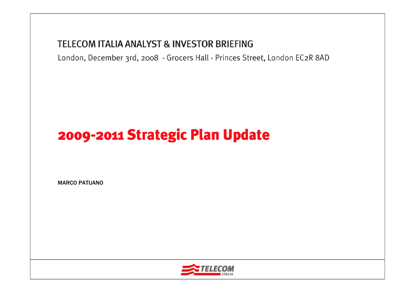#### **TELECOM ITALIA ANALYST & INVESTOR BRIEFING**

London, December 3rd, 2008 - Grocers Hall - Princes Street, London EC2R 8AD

# 2009-2011 Strategic Plan Update

MARCO PATUANO

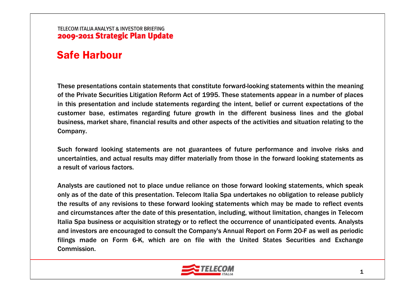### Safe Harbour

These presentations contain statements that constitute forward-looking statements within the meaning of the Private Securities Litigation Reform Act of 1995. These statements appear in a number of places in this presentation and include statements regarding the intent, belief or current expectations of the customer base, estimates regarding future growth in the different business lines and the global business, market share, financial results and other aspects of the activities and situation relating to the Company.

Such forward looking statements are not guarantees of future performance and involve risks and uncertainties, and actual results may differ materially from those in the forward looking statements as a result of various factors.

Analysts are cautioned not to place undue reliance on those forward looking statements, which speak only as of the date of this presentation. Telecom Italia Spa undertakes no obligation to release publicly the results of any revisions to these forward looking statements which may be made to reflect events and circumstances after the date of this presentation, including, without limitation, changes in Telecom Italia Spa business or acquisition strategy or to reflect the occurrence of unanticipated events. Analysts and investors are encouraged to consult the Company's Annual Report on Form 20-F as well as periodic filings made on Form 6-K, which are on file with the United States Securities and Exchange Commission.

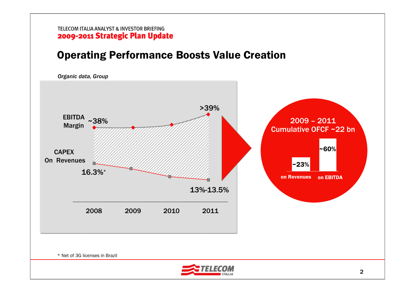## Operating Performance Boosts Value Creation

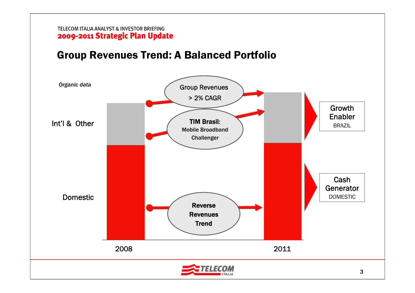### Group Revenues Trend: A Balanced Portfolio

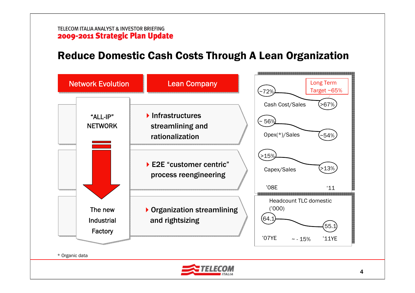### Reduce Domestic Cash Costs Through A Lean Organization

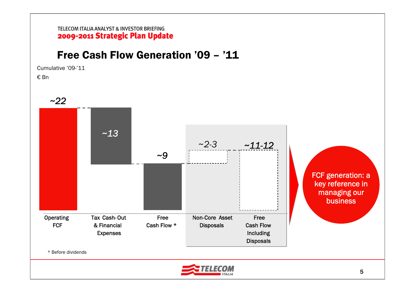# Free Cash Flow Generation '09 – '11

Cumulative '09-'11

€ Bn

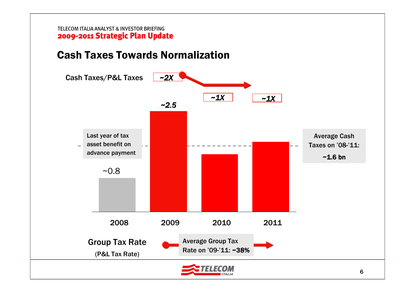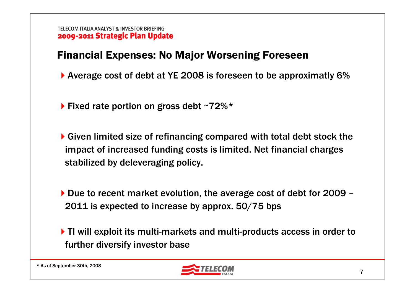# Financial Expenses: No Major Worsening Foreseen

- Average cost of debt at YE 2008 is foreseen to be approximatly 6%
- $\blacktriangleright$  Fixed rate portion on gross debt ~72%\*
- ▶ Given limited size of refinancing compared with total debt stock the impact of increased funding costs is limited. Net financial charges stabilized by deleveraging policy.
- ▶ Due to recent market evolution, the average cost of debt for 2009 2011 is expected to increase by approx. 50/75 bps
- ▶ TI will exploit its multi-markets and multi-products access in order to further diversify investor base

\* As of September 30th, 2008

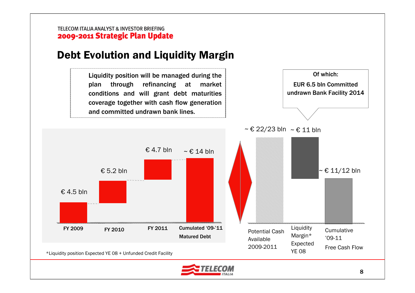#### Debt Evolution and Liquidity Margin